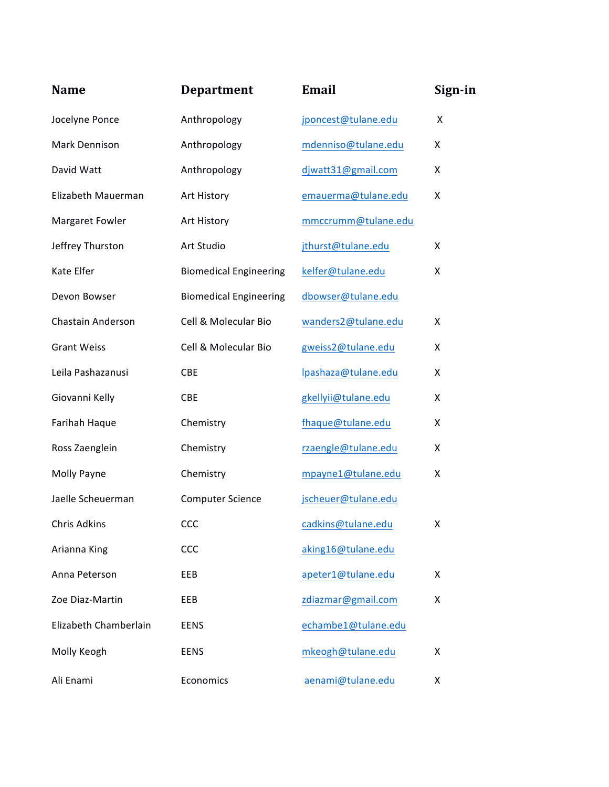| <b>Name</b>           | <b>Department</b>             | <b>Email</b>        | Sign-in |
|-----------------------|-------------------------------|---------------------|---------|
| Jocelyne Ponce        | Anthropology                  | jponcest@tulane.edu | Χ       |
| Mark Dennison         | Anthropology                  | mdenniso@tulane.edu | X       |
| David Watt            | Anthropology                  | djwatt31@gmail.com  | X       |
| Elizabeth Mauerman    | Art History                   | emauerma@tulane.edu | X       |
| Margaret Fowler       | Art History                   | mmccrumm@tulane.edu |         |
| Jeffrey Thurston      | Art Studio                    | jthurst@tulane.edu  | X       |
| Kate Elfer            | <b>Biomedical Engineering</b> | kelfer@tulane.edu   | X       |
| Devon Bowser          | <b>Biomedical Engineering</b> | dbowser@tulane.edu  |         |
| Chastain Anderson     | Cell & Molecular Bio          | wanders2@tulane.edu | Χ       |
| <b>Grant Weiss</b>    | Cell & Molecular Bio          | gweiss2@tulane.edu  | Χ       |
| Leila Pashazanusi     | <b>CBE</b>                    | lpashaza@tulane.edu | X       |
| Giovanni Kelly        | <b>CBE</b>                    | gkellyii@tulane.edu | X       |
| Farihah Haque         | Chemistry                     | fhaque@tulane.edu   | X       |
| Ross Zaenglein        | Chemistry                     | rzaengle@tulane.edu | X       |
| Molly Payne           | Chemistry                     | mpayne1@tulane.edu  | X       |
| Jaelle Scheuerman     | <b>Computer Science</b>       | jscheuer@tulane.edu |         |
| Chris Adkins          | CCC                           | cadkins@tulane.edu  | X       |
| Arianna King          | CCC                           | aking16@tulane.edu  |         |
| Anna Peterson         | EEB                           | apeter1@tulane.edu  | Χ       |
| Zoe Diaz-Martin       | EEB                           | zdiazmar@gmail.com  | X       |
| Elizabeth Chamberlain | <b>EENS</b>                   | echambe1@tulane.edu |         |
| Molly Keogh           | EENS                          | mkeogh@tulane.edu   | Χ       |
| Ali Enami             | Economics                     | aenami@tulane.edu   | X       |